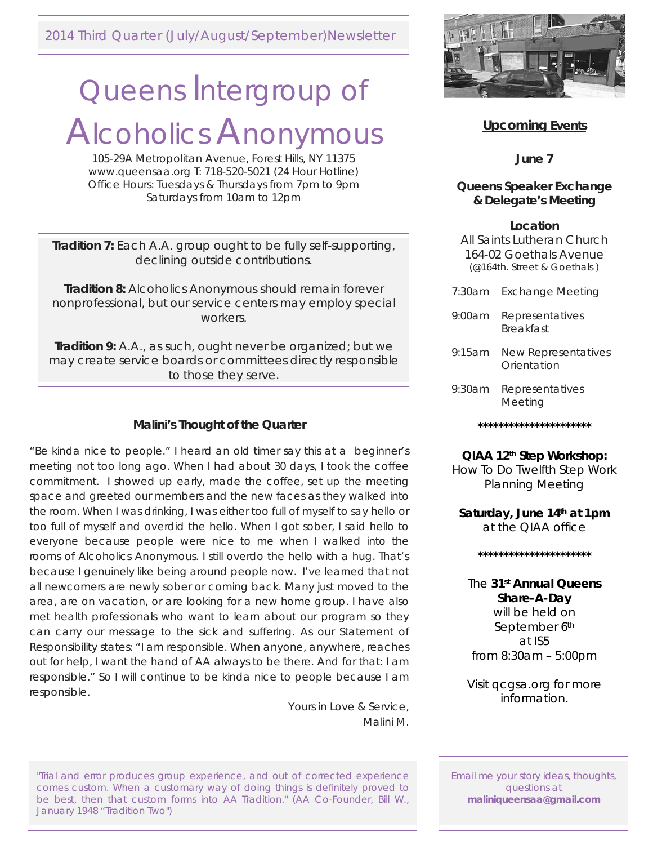2014 Third Quarter (July/August/September)Newsletter

# Queens Intergroup of Alcoholics Anonymous

105-29A Metropolitan Avenue, Forest Hills, NY 11375 www.queensaa.org T: 718-520-5021 (24 Hour Hotline) Office Hours: Tuesdays & Thursdays from 7pm to 9pm Saturdays from 10am to 12pm

**Tradition 7:** Each A.A. group ought to be fully self-supporting, declining outside contributions.

**Tradition 8:** Alcoholics Anonymous should remain forever nonprofessional, but our service centers may employ special workers.

**Tradition 9:** A.A., as such, ought never be organized; but we may create service boards or committees directly responsible to those they serve.

# **Malini's Thought of the Quarter**

"Be kinda nice to people." I heard an old timer say this at a beginner's meeting not too long ago. When I had about 30 days, I took the coffee commitment. I showed up early, made the coffee, set up the meeting space and greeted our members and the new faces as they walked into the room. When I was drinking, I was either too full of myself to say hello or too full of myself and overdid the hello. When I got sober, I said hello to everyone because people were nice to me when I walked into the rooms of Alcoholics Anonymous. I still overdo the hello with a hug. That's because I genuinely like being around people now. I've learned that not all newcomers are newly sober or coming back. Many just moved to the area, are on vacation, or are looking for a new home group. I have also met health professionals who want to learn about our program so they can carry our message to the sick and suffering. As our Statement of Responsibility states: "I am responsible. When anyone, anywhere, reaches out for help, I want the hand of AA always to be there. And for that: I am responsible." So I will continue to be kinda nice to people because I am responsible.

> Yours in Love & Service, Malini M.

"Trial and error produces group experience, and out of corrected experience comes custom. When a customary way of doing things is definitely proved to be best, then that custom forms into AA Tradition." (AA Co-Founder, Bill W., January 1948 "Tradition Two")



# **Upcoming Events**

**June 7**

## **Queens Speaker Exchange & Delegate's Meeting**

## **Location**

All Saints Lutheran Church 164-02 Goethals Avenue (@164th. Street & Goethals )

- 7:30am Exchange Meeting
- 9:00am Representatives Breakfast
- 9:15am New Representatives **Orientation**
- 9:30am Representatives Meeting

**\*\*\*\*\*\*\*\*\*\*\*\*\*\*\*\*\*\*\*\*\*\***

**QIAA 12th Step Workshop:** How To Do Twelfth Step Work Planning Meeting

**Saturday, June 14th at 1pm**  at the QIAA office

**\*\*\*\*\*\*\*\*\*\*\*\*\*\*\*\*\*\*\*\*\*\***

# The **31st Annual Queens Share-A-Day**

will be held on September 6th at IS5 from 8:30am – 5:00pm

Visit qcgsa.org for more information.

Email me your story ideas, thoughts, questions at **maliniqueensaa@gmail.com**